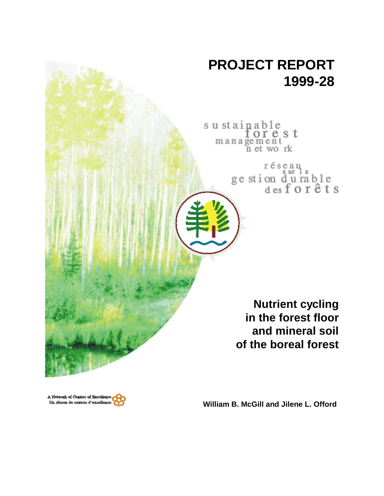# **PROJECT REPORT 1999-28**

sustainable<br>for est management n et work

réseau<br>ge stion d'u rable<br>des forêts

**Nutrient cycling in the forest floor and mineral soil of the boreal forest**



**William B. McGill and Jilene L. Offord**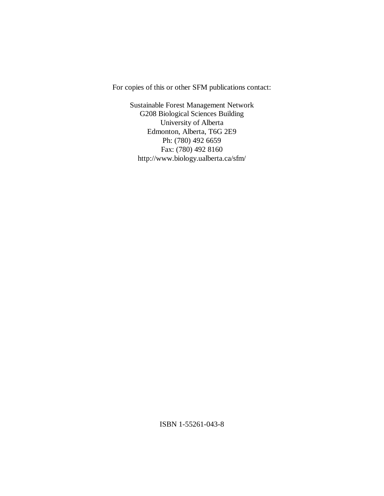For copies of this or other SFM publications contact:

Sustainable Forest Management Network G208 Biological Sciences Building University of Alberta Edmonton, Alberta, T6G 2E9 Ph: (780) 492 6659 Fax: (780) 492 8160 http://www.biology.ualberta.ca/sfm/

ISBN 1-55261-043-8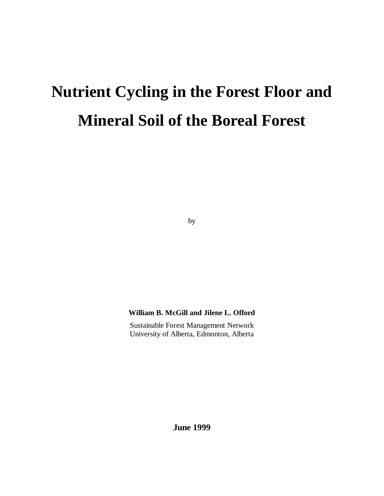# **Nutrient Cycling in the Forest Floor and Mineral Soil of the Boreal Forest**

by

## **William B. McGill and Jilene L. Offord**

Sustainable Forest Management Network University of Alberta, Edmonton, Alberta

**June 1999**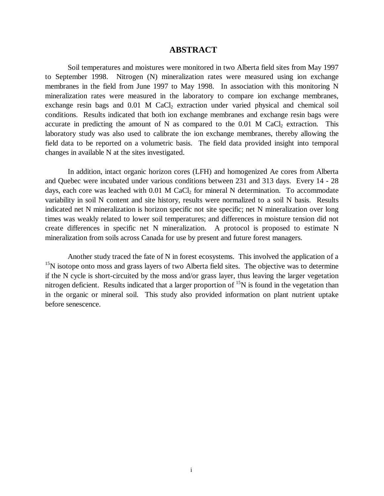## **ABSTRACT**

Soil temperatures and moistures were monitored in two Alberta field sites from May 1997 to September 1998. Nitrogen (N) mineralization rates were measured using ion exchange membranes in the field from June 1997 to May 1998. In association with this monitoring N mineralization rates were measured in the laboratory to compare ion exchange membranes, exchange resin bags and 0.01 M CaCl<sub>2</sub> extraction under varied physical and chemical soil conditions. Results indicated that both ion exchange membranes and exchange resin bags were accurate in predicting the amount of N as compared to the  $0.01$  M CaCl<sub>2</sub> extraction. This laboratory study was also used to calibrate the ion exchange membranes, thereby allowing the field data to be reported on a volumetric basis. The field data provided insight into temporal changes in available N at the sites investigated.

In addition, intact organic horizon cores (LFH) and homogenized Ae cores from Alberta and Quebec were incubated under various conditions between 231 and 313 days. Every 14 - 28 days, each core was leached with  $0.01$  M CaCl<sub>2</sub> for mineral N determination. To accommodate variability in soil N content and site history, results were normalized to a soil N basis. Results indicated net N mineralization is horizon specific not site specific; net N mineralization over long times was weakly related to lower soil temperatures; and differences in moisture tension did not create differences in specific net N mineralization. A protocol is proposed to estimate N mineralization from soils across Canada for use by present and future forest managers.

Another study traced the fate of N in forest ecosystems. This involved the application of a  $15$ N isotope onto moss and grass layers of two Alberta field sites. The objective was to determine if the N cycle is short-circuited by the moss and/or grass layer, thus leaving the larger vegetation nitrogen deficient. Results indicated that a larger proportion of  $\rm{^{15}N}$  is found in the vegetation than in the organic or mineral soil. This study also provided information on plant nutrient uptake before senescence.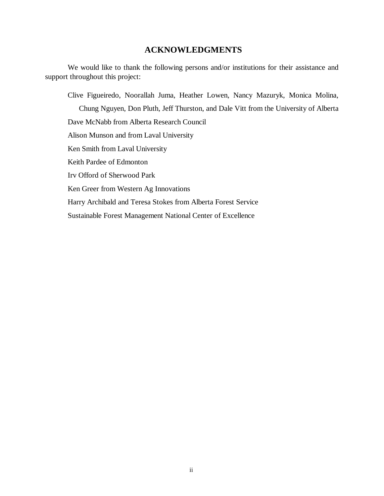# **ACKNOWLEDGMENTS**

We would like to thank the following persons and/or institutions for their assistance and support throughout this project:

Clive Figueiredo, Noorallah Juma, Heather Lowen, Nancy Mazuryk, Monica Molina, Chung Nguyen, Don Pluth, Jeff Thurston, and Dale Vitt from the University of Alberta Dave McNabb from Alberta Research Council Alison Munson and from Laval University Ken Smith from Laval University Keith Pardee of Edmonton Irv Offord of Sherwood Park Ken Greer from Western Ag Innovations Harry Archibald and Teresa Stokes from Alberta Forest Service Sustainable Forest Management National Center of Excellence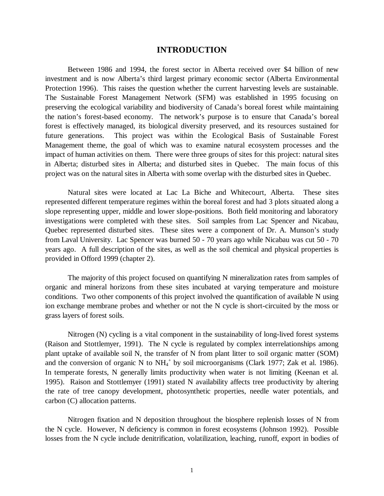#### **INTRODUCTION**

Between 1986 and 1994, the forest sector in Alberta received over \$4 billion of new investment and is now Alberta's third largest primary economic sector (Alberta Environmental Protection 1996). This raises the question whether the current harvesting levels are sustainable. The Sustainable Forest Management Network (SFM) was established in 1995 focusing on preserving the ecological variability and biodiversity of Canada's boreal forest while maintaining the nation's forest-based economy. The network's purpose is to ensure that Canada's boreal forest is effectively managed, its biological diversity preserved, and its resources sustained for future generations. This project was within the Ecological Basis of Sustainable Forest Management theme, the goal of which was to examine natural ecosystem processes and the impact of human activities on them. There were three groups of sites for this project: natural sites in Alberta; disturbed sites in Alberta; and disturbed sites in Quebec. The main focus of this project was on the natural sites in Alberta with some overlap with the disturbed sites in Quebec.

Natural sites were located at Lac La Biche and Whitecourt, Alberta. These sites represented different temperature regimes within the boreal forest and had 3 plots situated along a slope representing upper, middle and lower slope-positions. Both field monitoring and laboratory investigations were completed with these sites. Soil samples from Lac Spencer and Nicabau, Quebec represented disturbed sites. These sites were a component of Dr. A. Munson's study from Laval University. Lac Spencer was burned 50 - 70 years ago while Nicabau was cut 50 - 70 years ago. A full description of the sites, as well as the soil chemical and physical properties is provided in Offord 1999 (chapter 2).

The majority of this project focused on quantifying N mineralization rates from samples of organic and mineral horizons from these sites incubated at varying temperature and moisture conditions. Two other components of this project involved the quantification of available N using ion exchange membrane probes and whether or not the N cycle is short-circuited by the moss or grass layers of forest soils.

Nitrogen (N) cycling is a vital component in the sustainability of long-lived forest systems (Raison and Stottlemyer, 1991). The N cycle is regulated by complex interrelationships among plant uptake of available soil N, the transfer of N from plant litter to soil organic matter (SOM) and the conversion of organic N to  $NH_4$ <sup>+</sup> by soil microorganisms (Clark 1977; Zak et al. 1986). In temperate forests, N generally limits productivity when water is not limiting (Keenan et al. 1995). Raison and Stottlemyer (1991) stated N availability affects tree productivity by altering the rate of tree canopy development, photosynthetic properties, needle water potentials, and carbon (C) allocation patterns.

Nitrogen fixation and N deposition throughout the biosphere replenish losses of N from the N cycle. However, N deficiency is common in forest ecosystems (Johnson 1992). Possible losses from the N cycle include denitrification, volatilization, leaching, runoff, export in bodies of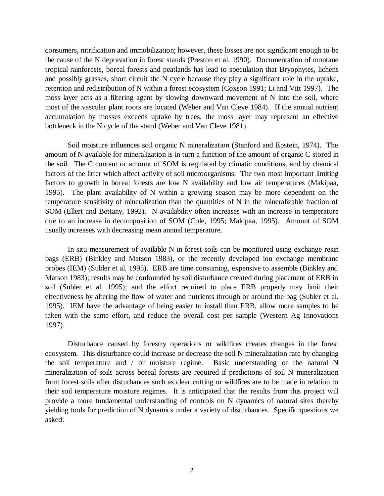consumers, nitrification and immobilization; however, these losses are not significant enough to be the cause of the N depravation in forest stands (Preston et al. 1990). Documentation of montane tropical rainforests, boreal forests and peatlands has lead to speculation that Bryophytes, lichens and possibly grasses, short circuit the N cycle because they play a significant role in the uptake, retention and redistribution of N within a forest ecosystem (Coxson 1991; Li and Vitt 1997). The moss layer acts as a filtering agent by slowing downward movement of N into the soil, where most of the vascular plant roots are located (Weber and Van Cleve 1984). If the annual nutrient accumulation by mosses exceeds uptake by trees, the moss layer may represent an effective bottleneck in the N cycle of the stand (Weber and Van Cleve 1981).

Soil moisture influences soil organic N mineralization (Stanford and Epstein, 1974). The amount of N available for mineralization is in turn a function of the amount of organic C stored in the soil. The C content or amount of SOM is regulated by climatic conditions, and by chemical factors of the litter which affect activity of soil microorganisms. The two most important limiting factors to growth in boreal forests are low N availability and low air temperatures (Makipaa, 1995). The plant availability of N within a growing season may be more dependent on the temperature sensitivity of mineralization than the quantities of N in the mineralizable fraction of SOM (Ellert and Bettany, 1992). N availability often increases with an increase in temperature due to an increase in decomposition of SOM (Cole, 1995; Makipaa, 1995). Amount of SOM usually increases with decreasing mean annual temperature.

In situ measurement of available N in forest soils can be monitored using exchange resin bags (ERB) (Binkley and Matson 1983), or the recently developed ion exchange membrane probes (IEM) (Subler et al. 1995). ERB are time consuming, expensive to assemble (Binkley and Matson 1983); results may be confounded by soil disturbance created during placement of ERB in soil (Subler et al. 1995); and the effort required to place ERB properly may limit their effectiveness by altering the flow of water and nutrients through or around the bag (Subler et al. 1995). IEM have the advantage of being easier to install than ERB, allow more samples to be taken with the same effort, and reduce the overall cost per sample (Western Ag Innovations 1997).

Disturbance caused by forestry operations or wildfires creates changes in the forest ecosystem. This disturbance could increase or decrease the soil N mineralization rate by changing the soil temperature and / or moisture regime. Basic understanding of the natural N mineralization of soils across boreal forests are required if predictions of soil N mineralization from forest soils after disturbances such as clear cutting or wildfires are to be made in relation to their soil temperature moisture regimes. It is anticipated that the results from this project will provide a more fundamental understanding of controls on N dynamics of natural sites thereby yielding tools for prediction of N dynamics under a variety of disturbances. Specific questions we asked: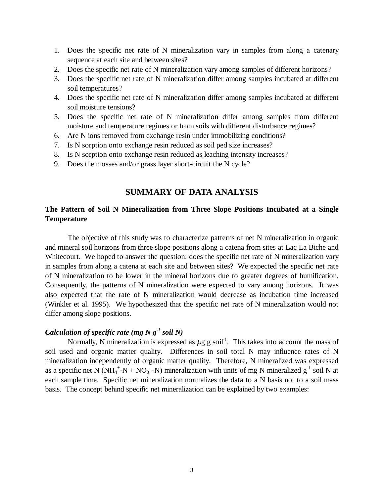- 1. Does the specific net rate of N mineralization vary in samples from along a catenary sequence at each site and between sites?
- 2. Does the specific net rate of N mineralization vary among samples of different horizons?
- 3. Does the specific net rate of N mineralization differ among samples incubated at different soil temperatures?
- 4. Does the specific net rate of N mineralization differ among samples incubated at different soil moisture tensions?
- 5. Does the specific net rate of N mineralization differ among samples from different moisture and temperature regimes or from soils with different disturbance regimes?
- 6. Are N ions removed from exchange resin under immobilizing conditions?
- 7. Is N sorption onto exchange resin reduced as soil ped size increases?
- 8. Is N sorption onto exchange resin reduced as leaching intensity increases?
- 9. Does the mosses and/or grass layer short-circuit the N cycle?

## **SUMMARY OF DATA ANALYSIS**

## **The Pattern of Soil N Mineralization from Three Slope Positions Incubated at a Single Temperature**

The objective of this study was to characterize patterns of net N mineralization in organic and mineral soil horizons from three slope positions along a catena from sites at Lac La Biche and Whitecourt. We hoped to answer the question: does the specific net rate of N mineralization vary in samples from along a catena at each site and between sites? We expected the specific net rate of N mineralization to be lower in the mineral horizons due to greater degrees of humification. Consequently, the patterns of N mineralization were expected to vary among horizons. It was also expected that the rate of N mineralization would decrease as incubation time increased (Winkler et al. 1995). We hypothesized that the specific net rate of N mineralization would not differ among slope positions.

#### *Calculation of specific rate (mg N g-1 soil N)*

Normally, N mineralization is expressed as  $\mu$ g g soil<sup>-1</sup>. This takes into account the mass of soil used and organic matter quality. Differences in soil total N may influence rates of N mineralization independently of organic matter quality. Therefore, N mineralized was expressed as a specific net N (NH<sub>4</sub><sup>+</sup>-N + NO<sub>3</sub><sup>-</sup>-N) mineralization with units of mg N mineralized  $g^{-1}$  soil N at each sample time. Specific net mineralization normalizes the data to a N basis not to a soil mass basis. The concept behind specific net mineralization can be explained by two examples: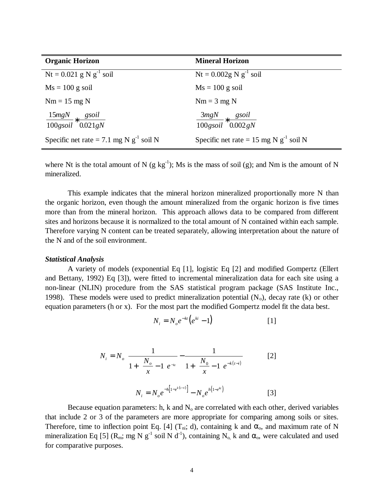| <b>Organic Horizon</b>                                        | <b>Mineral Horizon</b>                                       |
|---------------------------------------------------------------|--------------------------------------------------------------|
| $Nt = 0.021$ g N g <sup>-1</sup> soil                         | $Nt = 0.002g N g^{-1}$ soil                                  |
| $Ms = 100$ g soil                                             | $Ms = 100$ g soil                                            |
| $Nm = 15$ mg N                                                | $Nm = 3 mg N$                                                |
| $\frac{15mgN}{s} * \frac{gsoil}{s}$<br>$100$ gsoil $0.021$ gN | $\frac{3mgN}{s} * \frac{gsoil}{s}$<br>$100$ gsoil $0.002$ gN |
| Specific net rate = 7.1 mg N $g^{-1}$ soil N                  | Specific net rate = 15 mg N $g^{-1}$ soil N                  |

where Nt is the total amount of N (g kg<sup>-1</sup>); Ms is the mass of soil (g); and Nm is the amount of N mineralized.

This example indicates that the mineral horizon mineralized proportionally more N than the organic horizon, even though the amount mineralized from the organic horizon is five times more than from the mineral horizon. This approach allows data to be compared from different sites and horizons because it is normalized to the total amount of N contained within each sample. Therefore varying N content can be treated separately, allowing interpretation about the nature of the N and of the soil environment.

#### *Statistical Analysis*

A variety of models (exponential Eq [1], logistic Eq [2] and modified Gompertz (Ellert and Bettany, 1992) Eq [3]), were fitted to incremental mineralization data for each site using a non-linear (NLIN) procedure from the SAS statistical program package (SAS Institute Inc., 1998). These models were used to predict mineralization potential  $(N_0)$ , decay rate (k) or other equation parameters (h or x). For the most part the modified Gompertz model fit the data best.

$$
N_i = N_o e^{-kt} \left( e^{ki} - 1 \right) \tag{1}
$$

$$
N_{i} = N_{o} \left[ \frac{1}{1 + \left(\frac{N_{o}}{x} - 1\right) e^{-\kappa}} - \frac{1}{1 + \left(\frac{N_{o}}{x} - 1\right) e^{-\kappa (t - i)}} \right]
$$
 [2]  

$$
N_{i} = N_{o} e^{-\hbar \left[1 - e^{\kappa (t - i)}\right]} - N_{o} e^{\hbar \left(1 - e^{\kappa t}\right)}
$$
 [3]

Because equation parameters: h, k and  $N<sub>o</sub>$  are correlated with each other, derived variables that include 2 or 3 of the parameters are more appropriate for comparing among soils or sites. Therefore, time to inflection point Eq. [4] (T<sub>ni</sub>; d), containing k and  $\alpha_0$ , and maximum rate of N mineralization Eq [5] ( $R_m$ ; mg N g<sup>-1</sup> soil N d<sup>-1</sup>), containing N<sub>o</sub> k and  $\alpha_o$ , were calculated and used for comparative purposes.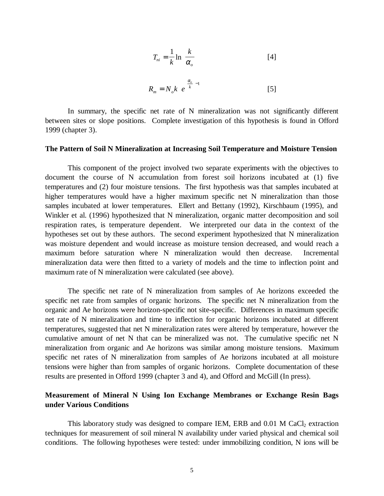$$
T_{ni} = \frac{1}{k} \ln \left( \frac{k}{\alpha_o} \right)
$$
 [4]  

$$
R_m = N_o k \left[ e^{\left( \frac{\alpha_o}{k} \right) - 1} \right]
$$
 [5]

In summary, the specific net rate of N mineralization was not significantly different between sites or slope positions. Complete investigation of this hypothesis is found in Offord 1999 (chapter 3).

#### **The Pattern of Soil N Mineralization at Increasing Soil Temperature and Moisture Tension**

This component of the project involved two separate experiments with the objectives to document the course of N accumulation from forest soil horizons incubated at (1) five temperatures and (2) four moisture tensions. The first hypothesis was that samples incubated at higher temperatures would have a higher maximum specific net N mineralization than those samples incubated at lower temperatures. Ellert and Bettany (1992), Kirschbaum (1995), and Winkler et al. (1996) hypothesized that N mineralization, organic matter decomposition and soil respiration rates, is temperature dependent. We interpreted our data in the context of the hypotheses set out by these authors. The second experiment hypothesized that N mineralization was moisture dependent and would increase as moisture tension decreased, and would reach a maximum before saturation where N mineralization would then decrease. Incremental mineralization data were then fitted to a variety of models and the time to inflection point and maximum rate of N mineralization were calculated (see above).

The specific net rate of N mineralization from samples of Ae horizons exceeded the specific net rate from samples of organic horizons. The specific net N mineralization from the organic and Ae horizons were horizon-specific not site-specific. Differences in maximum specific net rate of N mineralization and time to inflection for organic horizons incubated at different temperatures, suggested that net N mineralization rates were altered by temperature, however the cumulative amount of net N that can be mineralized was not. The cumulative specific net N mineralization from organic and Ae horizons was similar among moisture tensions. Maximum specific net rates of N mineralization from samples of Ae horizons incubated at all moisture tensions were higher than from samples of organic horizons. Complete documentation of these results are presented in Offord 1999 (chapter 3 and 4), and Offord and McGill (In press).

#### **Measurement of Mineral N Using Ion Exchange Membranes or Exchange Resin Bags under Various Conditions**

This laboratory study was designed to compare IEM, ERB and  $0.01$  M CaCl<sub>2</sub> extraction techniques for measurement of soil mineral N availability under varied physical and chemical soil conditions. The following hypotheses were tested: under immobilizing condition, N ions will be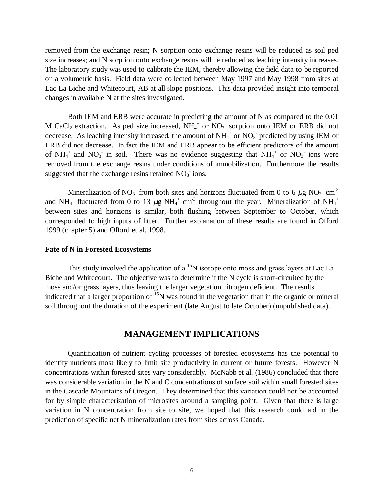removed from the exchange resin; N sorption onto exchange resins will be reduced as soil ped size increases; and N sorption onto exchange resins will be reduced as leaching intensity increases. The laboratory study was used to calibrate the IEM, thereby allowing the field data to be reported on a volumetric basis. Field data were collected between May 1997 and May 1998 from sites at Lac La Biche and Whitecourt, AB at all slope positions. This data provided insight into temporal changes in available N at the sites investigated.

Both IEM and ERB were accurate in predicting the amount of N as compared to the 0.01 M CaCl<sub>2</sub> extraction. As ped size increased,  $NH_4^+$  or  $NO_3^-$  sorption onto IEM or ERB did not decrease. As leaching intensity increased, the amount of  $NH_4^+$  or  $NO_3^-$  predicted by using IEM or ERB did not decrease. In fact the IEM and ERB appear to be efficient predictors of the amount of  $NH_4^+$  and  $NO_3^-$  in soil. There was no evidence suggesting that  $NH_4^+$  or  $NO_3^-$  ions were removed from the exchange resins under conditions of immobilization. Furthermore the results suggested that the exchange resins retained  $NO<sub>3</sub>$  ions.

Mineralization of NO<sub>3</sub> from both sites and horizons fluctuated from 0 to 6  $\mu$ g NO<sub>3</sub> cm<sup>-3</sup> and NH<sub>4</sub><sup>+</sup> fluctuated from 0 to 13  $\mu$ g NH<sub>4</sub><sup>+</sup> cm<sup>-3</sup> throughout the year. Mineralization of NH<sub>4</sub><sup>+</sup> between sites and horizons is similar, both flushing between September to October, which corresponded to high inputs of litter. Further explanation of these results are found in Offord 1999 (chapter 5) and Offord et al. 1998.

#### **Fate of N in Forested Ecosystems**

This study involved the application of a  $15N$  isotope onto moss and grass layers at Lac La Biche and Whitecourt. The objective was to determine if the N cycle is short-circuited by the moss and/or grass layers, thus leaving the larger vegetation nitrogen deficient. The results indicated that a larger proportion of  $15N$  was found in the vegetation than in the organic or mineral soil throughout the duration of the experiment (late August to late October) (unpublished data).

#### **MANAGEMENT IMPLICATIONS**

Quantification of nutrient cycling processes of forested ecosystems has the potential to identify nutrients most likely to limit site productivity in current or future forests. However N concentrations within forested sites vary considerably. McNabb et al. (1986) concluded that there was considerable variation in the N and C concentrations of surface soil within small forested sites in the Cascade Mountains of Oregon. They determined that this variation could not be accounted for by simple characterization of microsites around a sampling point. Given that there is large variation in N concentration from site to site, we hoped that this research could aid in the prediction of specific net N mineralization rates from sites across Canada.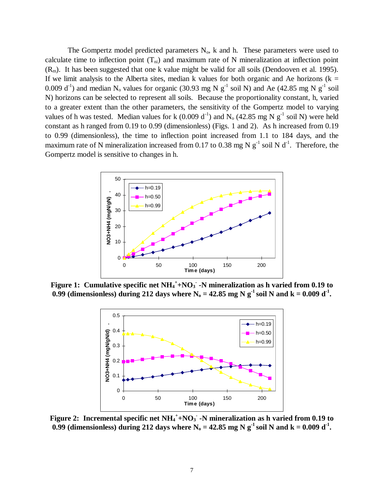The Gompertz model predicted parameters  $N_0$ , k and h. These parameters were used to calculate time to inflection point  $(T_{ni})$  and maximum rate of N mineralization at inflection point  $(R_m)$ . It has been suggested that one k value might be valid for all soils (Dendooven et al. 1995). If we limit analysis to the Alberta sites, median k values for both organic and Ae horizons ( $k =$ 0.009 d<sup>-1</sup>) and median N<sub>o</sub> values for organic (30.93 mg N  $g^{-1}$  soil N) and Ae (42.85 mg N  $g^{-1}$  soil N) horizons can be selected to represent all soils. Because the proportionality constant, h, varied to a greater extent than the other parameters, the sensitivity of the Gompertz model to varying values of h was tested. Median values for k  $(0.009 d^{-1})$  and N<sub>o</sub>  $(42.85 mg N g^{-1} )$  soil N) were held constant as h ranged from 0.19 to 0.99 (dimensionless) (Figs. 1 and 2). As h increased from 0.19 to 0.99 (dimensionless), the time to inflection point increased from 1.1 to 184 days, and the maximum rate of N mineralization increased from 0.17 to 0.38 mg N  $g^{-1}$  soil N d<sup>-1</sup>. Therefore, the Gompertz model is sensitive to changes in h.



Figure 1: Cumulative specific net NH<sub>4</sub><sup>+</sup>+NO<sub>3</sub> -N mineralization as h varied from 0.19 to 0.99 (dimensionless) during 212 days where  $N_0 = 42.85$  mg N g<sup>-1</sup> soil N and k = 0.009 d<sup>-1</sup>.



**Figure 2:** Incremental specific net  $NH_4^+$ +NO<sub>3</sub> -N mineralization as h varied from 0.19 to 0.99 (dimensionless) during 212 days where  $N_0 = 42.85$  mg N g<sup>-1</sup> soil N and  $k = 0.009$  d<sup>-1</sup>.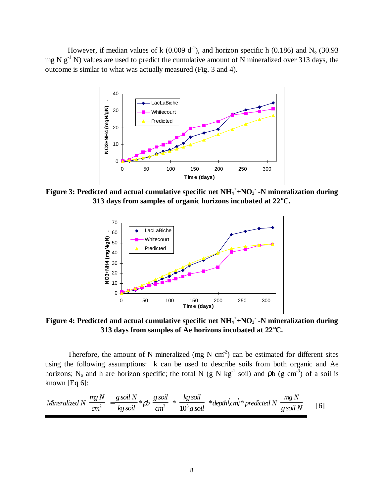However, if median values of k (0.009 d<sup>-1</sup>), and horizon specific h (0.186) and N<sub>o</sub> (30.93 mg N  $g^{-1}$  N) values are used to predict the cumulative amount of N mineralized over 313 days, the outcome is similar to what was actually measured (Fig. 3 and 4).



**Figure 3: Predicted and actual cumulative specific net NH4 + +NO3 - -N mineralization during 313 days from samples of organic horizons incubated at 22**°**C.**



**Figure 4: Predicted and actual cumulative specific net NH4 + +NO3 - -N mineralization during 313 days from samples of Ae horizons incubated at 22**°**C.**

Therefore, the amount of N mineralized (mg N cm<sup>2</sup>) can be estimated for different sites using the following assumptions: k can be used to describe soils from both organic and Ae horizons; N<sub>o</sub> and h are horizon specific; the total N (g N kg<sup>-1</sup> soil) and pb (g cm<sup>-3</sup>) of a soil is known [Eq 6]:

Mineralized 
$$
N\left(\frac{mg N}{cm^2}\right) = \frac{g \, soil \, N}{kg \, soil} * \rho b \left(\frac{g \, soil}{cm^3}\right) * \left(\frac{kg \, soil}{10^3 \, g \, soil}\right) * depth (cm) * predicted \, N\left(\frac{mg N}{g \, soil \, N}\right)
$$
 [6]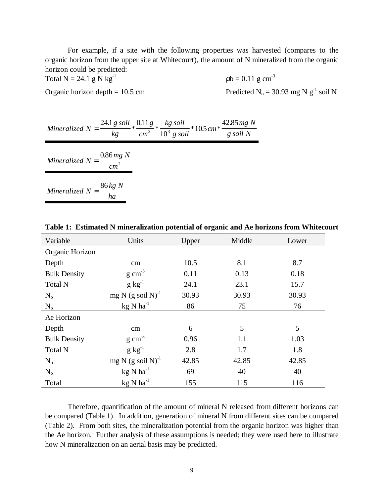For example, if a site with the following properties was harvested (compares to the organic horizon from the upper site at Whitecourt), the amount of N mineralized from the organic horizon could be predicted:

Total N = 24.1 g N kg<sup>-1</sup>  $pb = 0.11$  g cm<sup>-3</sup>

Organic horizon depth = 10.5 cm Predicted  $N_0 = 30.93$  mg N g<sup>-1</sup> soil N

Mineralized 
$$
N = \frac{24.1 g \, soil}{kg} * \frac{0.11 g}{cm^3} * \frac{kg \, soil}{10^3 g \, soil} * 10.5 cm * \frac{42.85 mg \, N}{g \, soil \, N}
$$
  
\nMineralized  $N = \frac{0.86 mg \, N}{cm^2}$   
\nMineralized  $N = \frac{86 kg \, N}{ha}$ 

| Variable            | Units                          | Upper | Middle | Lower |
|---------------------|--------------------------------|-------|--------|-------|
| Organic Horizon     |                                |       |        |       |
| Depth               | $\rm cm$                       | 10.5  | 8.1    | 8.7   |
| <b>Bulk Density</b> | $g \text{ cm}^{-3}$            | 0.11  | 0.13   | 0.18  |
| <b>Total N</b>      | $g kg^{-1}$                    | 24.1  | 23.1   | 15.7  |
| $N_{o}$             | mg N $(g \text{ soil N})^{-1}$ | 30.93 | 30.93  | 30.93 |
| $N_{o}$             | $kg$ N ha <sup>-1</sup>        | 86    | 75     | 76    |
| Ae Horizon          |                                |       |        |       |
| Depth               | $\rm cm$                       | 6     | 5      | 5     |
| <b>Bulk Density</b> | $g \text{ cm}^{-3}$            | 0.96  | 1.1    | 1.03  |
| <b>Total N</b>      | $g kg^{-1}$                    | 2.8   | 1.7    | 1.8   |
| $N_{o}$             | mg N $(g \text{ soil N})^{-1}$ | 42.85 | 42.85  | 42.85 |
| $N_{o}$             | $kg$ N ha <sup>-1</sup>        | 69    | 40     | 40    |
| Total               | $kg$ N ha <sup>-1</sup>        | 155   | 115    | 116   |

**Table 1: Estimated N mineralization potential of organic and Ae horizons from Whitecourt**

Therefore, quantification of the amount of mineral N released from different horizons can be compared (Table 1). In addition, generation of mineral N from different sites can be compared (Table 2). From both sites, the mineralization potential from the organic horizon was higher than the Ae horizon. Further analysis of these assumptions is needed; they were used here to illustrate how N mineralization on an aerial basis may be predicted.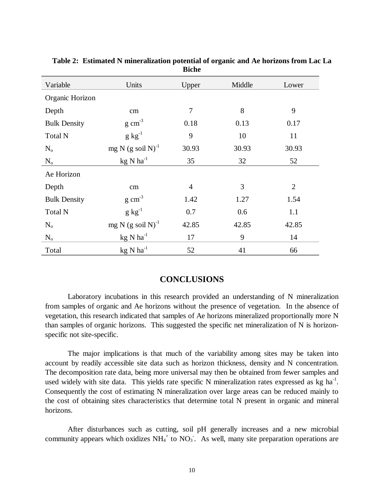| Variable            | Units                          | Upper          | Middle | Lower          |
|---------------------|--------------------------------|----------------|--------|----------------|
| Organic Horizon     |                                |                |        |                |
| Depth               | cm                             | 7              | 8      | 9              |
| <b>Bulk Density</b> | $g \text{ cm}^{-3}$            | 0.18           | 0.13   | 0.17           |
| <b>Total N</b>      | $g kg^{-1}$                    | 9              | 10     | 11             |
| $N_{o}$             | mg N $(g \text{ soil N})^{-1}$ | 30.93          | 30.93  | 30.93          |
| $N_{o}$             | $kg$ N $ha^{-1}$               | 35             | 32     | 52             |
| Ae Horizon          |                                |                |        |                |
| Depth               | cm                             | $\overline{4}$ | 3      | $\overline{2}$ |
| <b>Bulk Density</b> | $g \text{ cm}^{-3}$            | 1.42           | 1.27   | 1.54           |
| <b>Total N</b>      | $g\ kg^{-1}$                   | 0.7            | 0.6    | 1.1            |
| $N_{o}$             | mg N $(g \text{ soil N})^{-1}$ | 42.85          | 42.85  | 42.85          |
| $N_{o}$             | $kg$ N ha <sup>-1</sup>        | 17             | 9      | 14             |
| Total               | $kg$ N $ha^{-1}$               | 52             | 41     | 66             |

**Table 2: Estimated N mineralization potential of organic and Ae horizons from Lac La Biche**

# **CONCLUSIONS**

Laboratory incubations in this research provided an understanding of N mineralization from samples of organic and Ae horizons without the presence of vegetation. In the absence of vegetation, this research indicated that samples of Ae horizons mineralized proportionally more N than samples of organic horizons. This suggested the specific net mineralization of N is horizonspecific not site-specific.

The major implications is that much of the variability among sites may be taken into account by readily accessible site data such as horizon thickness, density and N concentration. The decomposition rate data, being more universal may then be obtained from fewer samples and used widely with site data. This yields rate specific N mineralization rates expressed as  $kg \text{ ha}^{-1}$ . Consequently the cost of estimating N mineralization over large areas can be reduced mainly to the cost of obtaining sites characteristics that determine total N present in organic and mineral horizons.

After disturbances such as cutting, soil pH generally increases and a new microbial community appears which oxidizes  $NH_4^+$  to  $NO_3$ . As well, many site preparation operations are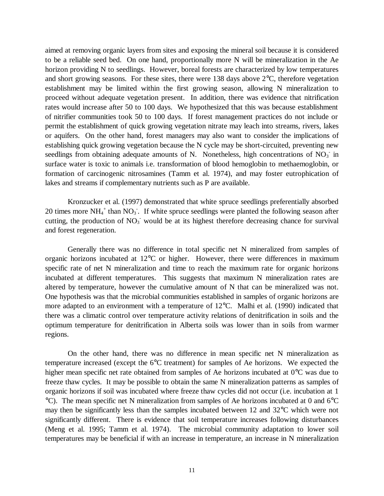aimed at removing organic layers from sites and exposing the mineral soil because it is considered to be a reliable seed bed. On one hand, proportionally more N will be mineralization in the Ae horizon providing N to seedlings. However, boreal forests are characterized by low temperatures and short growing seasons. For these sites, there were 138 days above 2°C, therefore vegetation establishment may be limited within the first growing season, allowing N mineralization to proceed without adequate vegetation present. In addition, there was evidence that nitrification rates would increase after 50 to 100 days. We hypothesized that this was because establishment of nitrifier communities took 50 to 100 days. If forest management practices do not include or permit the establishment of quick growing vegetation nitrate may leach into streams, rivers, lakes or aquifers. On the other hand, forest managers may also want to consider the implications of establishing quick growing vegetation because the N cycle may be short-circuited, preventing new seedlings from obtaining adequate amounts of N. Nonetheless, high concentrations of  $NO<sub>3</sub>$  in surface water is toxic to animals i.e. transformation of blood hemoglobin to methaemoglobin, or formation of carcinogenic nitrosamines (Tamm et al. 1974), and may foster eutrophication of lakes and streams if complementary nutrients such as P are available.

Kronzucker et al. (1997) demonstrated that white spruce seedlings preferentially absorbed 20 times more  $NH_4^+$  than  $NO_3^-$ . If white spruce seedlings were planted the following season after cutting, the production of  $NO<sub>3</sub>$  would be at its highest therefore decreasing chance for survival and forest regeneration.

Generally there was no difference in total specific net N mineralized from samples of organic horizons incubated at 12°C or higher. However, there were differences in maximum specific rate of net N mineralization and time to reach the maximum rate for organic horizons incubated at different temperatures. This suggests that maximum N mineralization rates are altered by temperature, however the cumulative amount of N that can be mineralized was not. One hypothesis was that the microbial communities established in samples of organic horizons are more adapted to an environment with a temperature of 12°C. Malhi et al. (1990) indicated that there was a climatic control over temperature activity relations of denitrification in soils and the optimum temperature for denitrification in Alberta soils was lower than in soils from warmer regions.

On the other hand, there was no difference in mean specific net N mineralization as temperature increased (except the 6°C treatment) for samples of Ae horizons. We expected the higher mean specific net rate obtained from samples of Ae horizons incubated at 0<sup>o</sup>C was due to freeze thaw cycles. It may be possible to obtain the same N mineralization patterns as samples of organic horizons if soil was incubated where freeze thaw cycles did not occur (i.e. incubation at 1 °C). The mean specific net N mineralization from samples of Ae horizons incubated at 0 and 6°C may then be significantly less than the samples incubated between 12 and 32°C which were not significantly different. There is evidence that soil temperature increases following disturbances (Meng et al. 1995; Tamm et al. 1974). The microbial community adaptation to lower soil temperatures may be beneficial if with an increase in temperature, an increase in N mineralization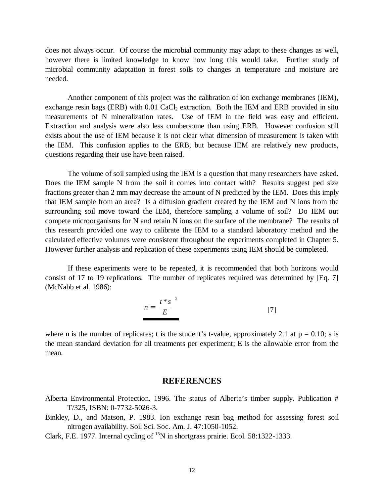does not always occur. Of course the microbial community may adapt to these changes as well, however there is limited knowledge to know how long this would take. Further study of microbial community adaptation in forest soils to changes in temperature and moisture are needed.

Another component of this project was the calibration of ion exchange membranes (IEM), exchange resin bags (ERB) with 0.01 CaCl<sub>2</sub> extraction. Both the IEM and ERB provided in situ measurements of N mineralization rates. Use of IEM in the field was easy and efficient. Extraction and analysis were also less cumbersome than using ERB. However confusion still exists about the use of IEM because it is not clear what dimension of measurement is taken with the IEM. This confusion applies to the ERB, but because IEM are relatively new products, questions regarding their use have been raised.

The volume of soil sampled using the IEM is a question that many researchers have asked. Does the IEM sample N from the soil it comes into contact with? Results suggest ped size fractions greater than 2 mm may decrease the amount of N predicted by the IEM. Does this imply that IEM sample from an area? Is a diffusion gradient created by the IEM and N ions from the surrounding soil move toward the IEM, therefore sampling a volume of soil? Do IEM out compete microorganisms for N and retain N ions on the surface of the membrane? The results of this research provided one way to calibrate the IEM to a standard laboratory method and the calculated effective volumes were consistent throughout the experiments completed in Chapter 5. However further analysis and replication of these experiments using IEM should be completed.

If these experiments were to be repeated, it is recommended that both horizons would consist of 17 to 19 replications. The number of replicates required was determined by [Eq. 7] (McNabb et al. 1986):

$$
n = \left[\frac{t * s}{E}\right]^2\tag{7}
$$

where n is the number of replicates; t is the student's t-value, approximately 2.1 at  $p = 0.10$ ; s is the mean standard deviation for all treatments per experiment; E is the allowable error from the mean.

#### **REFERENCES**

- Alberta Environmental Protection. 1996. The status of Alberta's timber supply. Publication # T/325, ISBN: 0-7732-5026-3.
- Binkley, D., and Matson, P. 1983. Ion exchange resin bag method for assessing forest soil nitrogen availability. Soil Sci. Soc. Am. J. 47:1050-1052.
- Clark, F.E. 1977. Internal cycling of  $^{15}N$  in shortgrass prairie. Ecol. 58:1322-1333.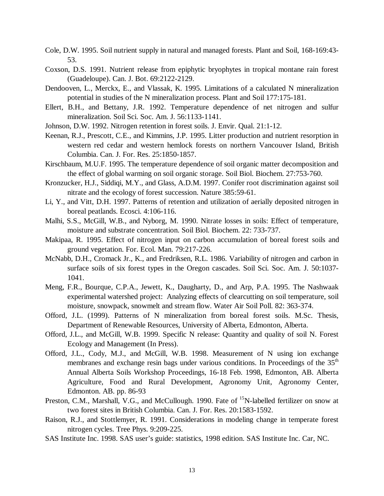- Cole, D.W. 1995. Soil nutrient supply in natural and managed forests. Plant and Soil, 168-169:43- 53.
- Coxson, D.S. 1991. Nutrient release from epiphytic bryophytes in tropical montane rain forest (Guadeloupe). Can. J. Bot. 69:2122-2129.
- Dendooven, L., Merckx, E., and Vlassak, K. 1995. Limitations of a calculated N mineralization potential in studies of the N mineralization process. Plant and Soil 177:175-181.
- Ellert, B.H., and Bettany, J.R. 1992. Temperature dependence of net nitrogen and sulfur mineralization. Soil Sci. Soc. Am. J. 56:1133-1141.
- Johnson, D.W. 1992. Nitrogen retention in forest soils. J. Envir. Qual. 21:1-12.
- Keenan, R.J., Prescott, C.E., and Kimmins, J.P. 1995. Litter production and nutrient resorption in western red cedar and western hemlock forests on northern Vancouver Island, British Columbia. Can. J. For. Res. 25:1850-1857.
- Kirschbaum, M.U.F. 1995. The temperature dependence of soil organic matter decomposition and the effect of global warming on soil organic storage. Soil Biol. Biochem. 27:753-760.
- Kronzucker, H.J., Siddiqi, M.Y., and Glass, A.D.M. 1997. Conifer root discrimination against soil nitrate and the ecology of forest succession. Nature 385:59-61.
- Li, Y., and Vitt, D.H. 1997. Patterns of retention and utilization of aerially deposited nitrogen in boreal peatlands. Ecosci. 4:106-116.
- Malhi, S.S., McGill, W.B., and Nyborg, M. 1990. Nitrate losses in soils: Effect of temperature, moisture and substrate concentration. Soil Biol. Biochem. 22: 733-737.
- Makipaa, R. 1995. Effect of nitrogen input on carbon accumulation of boreal forest soils and ground vegetation. For. Ecol. Man. 79:217-226.
- McNabb, D.H., Cromack Jr., K., and Fredriksen, R.L. 1986. Variability of nitrogen and carbon in surface soils of six forest types in the Oregon cascades. Soil Sci. Soc. Am. J. 50:1037- 1041.
- Meng, F.R., Bourque, C.P.A., Jewett, K., Daugharty, D., and Arp, P.A. 1995. The Nashwaak experimental watershed project: Analyzing effects of clearcutting on soil temperature, soil moisture, snowpack, snowmelt and stream flow. Water Air Soil Poll. 82: 363-374.
- Offord, J.L. (1999). Patterns of N mineralization from boreal forest soils. M.Sc. Thesis, Department of Renewable Resources, University of Alberta, Edmonton, Alberta.
- Offord, J.L., and McGill, W.B. 1999. Specific N release: Quantity and quality of soil N. Forest Ecology and Management (In Press).
- Offord, J.L., Cody, M.J., and McGill, W.B. 1998. Measurement of N using ion exchange membranes and exchange resin bags under various conditions. In Proceedings of the  $35<sup>th</sup>$ Annual Alberta Soils Workshop Proceedings, 16-18 Feb. 1998, Edmonton, AB. Alberta Agriculture, Food and Rural Development, Agronomy Unit, Agronomy Center, Edmonton. AB. pp. 86-93
- Preston, C.M., Marshall, V.G., and McCullough. 1990. Fate of <sup>15</sup>N-labelled fertilizer on snow at two forest sites in British Columbia. Can. J. For. Res. 20:1583-1592.
- Raison, R.J., and Stottlemyer, R. 1991. Considerations in modeling change in temperate forest nitrogen cycles. Tree Phys. 9:209-225.
- SAS Institute Inc. 1998. SAS user's guide: statistics, 1998 edition. SAS Institute Inc. Car, NC.